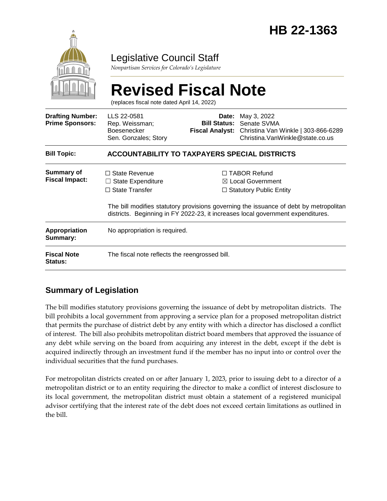

## Legislative Council Staff

*Nonpartisan Services for Colorado's Legislature*

|                                                   | <b>Revised Fiscal Note</b><br>(replaces fiscal note dated April 14, 2022)                                                                                                |       |                                                                                                                                           |  |
|---------------------------------------------------|--------------------------------------------------------------------------------------------------------------------------------------------------------------------------|-------|-------------------------------------------------------------------------------------------------------------------------------------------|--|
| <b>Drafting Number:</b><br><b>Prime Sponsors:</b> | LLS 22-0581<br>Rep. Weissman;<br><b>Boesenecker</b><br>Sen. Gonzales; Story                                                                                              | Date: | May 3, 2022<br><b>Bill Status: Senate SVMA</b><br>Fiscal Analyst: Christina Van Winkle   303-866-6289<br>Christina. VanWinkle@state.co.us |  |
| <b>Bill Topic:</b>                                | <b>ACCOUNTABILITY TO TAXPAYERS SPECIAL DISTRICTS</b>                                                                                                                     |       |                                                                                                                                           |  |
| Summary of<br><b>Fiscal Impact:</b>               | $\Box$ State Revenue<br><b>State Expenditure</b><br>$\Box$ State Transfer                                                                                                |       | $\Box$ TABOR Refund<br>⊠ Local Government<br>$\Box$ Statutory Public Entity                                                               |  |
|                                                   | The bill modifies statutory provisions governing the issuance of debt by metropolitan<br>districts. Beginning in FY 2022-23, it increases local government expenditures. |       |                                                                                                                                           |  |
| <b>Appropriation</b><br>Summary:                  | No appropriation is required.                                                                                                                                            |       |                                                                                                                                           |  |
| <b>Fiscal Note</b><br>Status:                     | The fiscal note reflects the reengrossed bill.                                                                                                                           |       |                                                                                                                                           |  |

### **Summary of Legislation**

The bill modifies statutory provisions governing the issuance of debt by metropolitan districts. The bill prohibits a local government from approving a service plan for a proposed metropolitan district that permits the purchase of district debt by any entity with which a director has disclosed a conflict of interest. The bill also prohibits metropolitan district board members that approved the issuance of any debt while serving on the board from acquiring any interest in the debt, except if the debt is acquired indirectly through an investment fund if the member has no input into or control over the individual securities that the fund purchases.

For metropolitan districts created on or after January 1, 2023, prior to issuing debt to a director of a metropolitan district or to an entity requiring the director to make a conflict of interest disclosure to its local government, the metropolitan district must obtain a statement of a registered municipal advisor certifying that the interest rate of the debt does not exceed certain limitations as outlined in the bill.